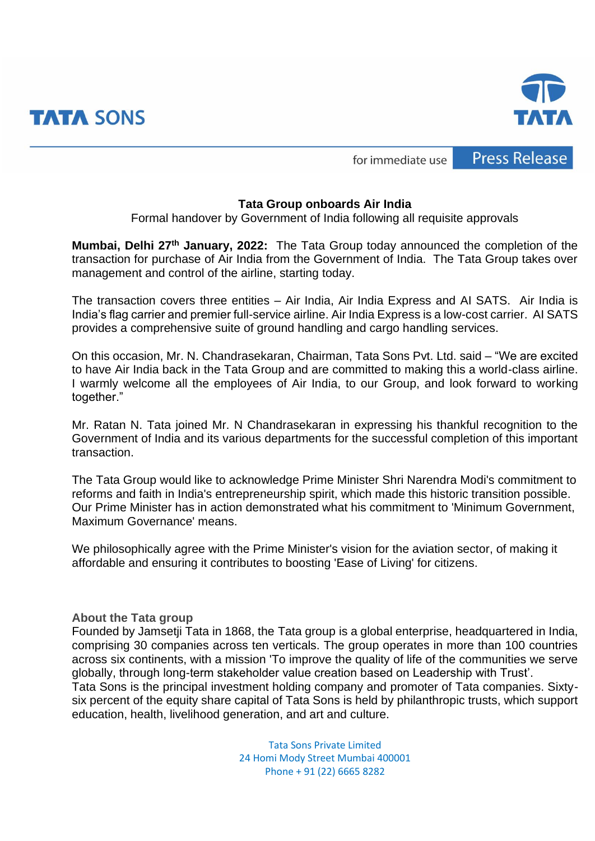



**Press Release** for immediate use

## **Tata Group onboards Air India**

Formal handover by Government of India following all requisite approvals

**Mumbai, Delhi 27th January, 2022:** The Tata Group today announced the completion of the transaction for purchase of Air India from the Government of India. The Tata Group takes over management and control of the airline, starting today.

The transaction covers three entities – Air India, Air India Express and AI SATS. Air India is India's flag carrier and premier full-service airline. Air India Express is a low-cost carrier. AI SATS provides a comprehensive suite of ground handling and cargo handling services.

On this occasion, Mr. N. Chandrasekaran, Chairman, Tata Sons Pvt. Ltd. said – "We are excited to have Air India back in the Tata Group and are committed to making this a world-class airline. I warmly welcome all the employees of Air India, to our Group, and look forward to working together."

Mr. Ratan N. Tata joined Mr. N Chandrasekaran in expressing his thankful recognition to the Government of India and its various departments for the successful completion of this important transaction.

The Tata Group would like to acknowledge Prime Minister Shri Narendra Modi's commitment to reforms and faith in India's entrepreneurship spirit, which made this historic transition possible. Our Prime Minister has in action demonstrated what his commitment to 'Minimum Government, Maximum Governance' means.

We philosophically agree with the Prime Minister's vision for the aviation sector, of making it affordable and ensuring it contributes to boosting 'Ease of Living' for citizens.

**About the Tata group**

Founded by Jamsetji Tata in 1868, the [Tata group](https://www.tata.com/about) is a global enterprise, headquartered in India, comprising 30 companies across ten verticals. The group operates in more than 100 countries across six continents, with a mission 'To improve the quality of life of the communities we serve globally, through long-term stakeholder value creation based on Leadership with Trust'.

Tata Sons is the principal investment holding company and promoter of Tata companies. Sixtysix percent of the equity share capital of Tata Sons is held by philanthropic trusts, which support education, health, livelihood generation, and art and culture.

> Tata Sons Private Limited 24 Homi Mody Street Mumbai 400001 Phone + 91 (22) 6665 8282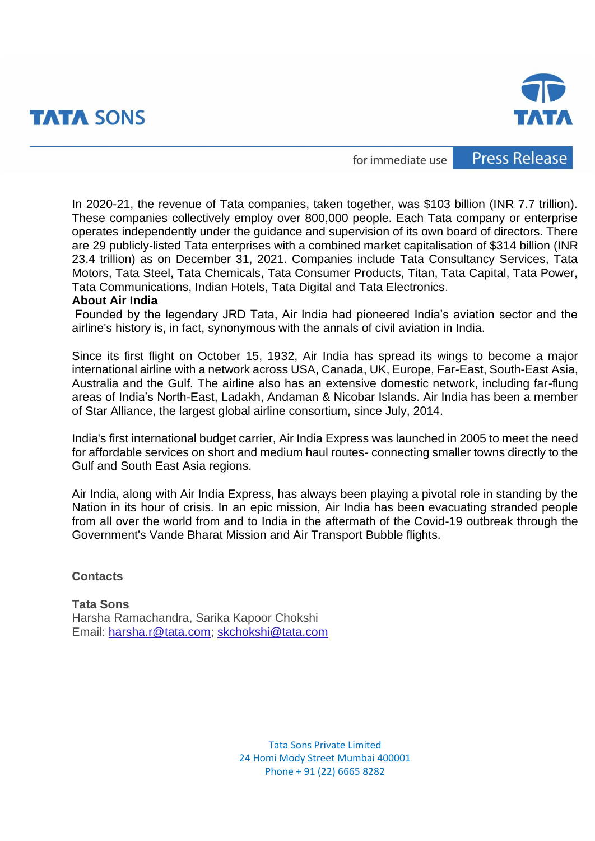



for immediate use

**Press Release** 

In 2020-21, the revenue of Tata companies, taken together, was \$103 billion (INR 7.7 trillion). These companies collectively employ over 800,000 people. Each Tata company or enterprise operates independently under the guidance and supervision of its own board of directors. There are 29 publicly-listed Tata enterprises with a combined market capitalisation of \$314 billion (INR 23.4 trillion) as on December 31, 2021. Companies include Tata Consultancy Services, Tata Motors, Tata Steel, Tata Chemicals, Tata Consumer Products, Titan, Tata Capital, Tata Power, Tata Communications, Indian Hotels, Tata Digital and Tata Electronics.

## **About Air India**

Founded by the legendary JRD Tata, Air India had pioneered India's aviation sector and the airline's history is, in fact, synonymous with the annals of civil aviation in India.

Since its first flight on October 15, 1932, Air India has spread its wings to become a major international airline with a network across USA, Canada, UK, Europe, Far-East, South-East Asia, Australia and the Gulf. The airline also has an extensive domestic network, including far-flung areas of India's North-East, Ladakh, Andaman & Nicobar Islands. Air India has been a member of Star Alliance, the largest global airline consortium, since July, 2014.

India's first international budget carrier, Air India Express was launched in 2005 to meet the need for affordable services on short and medium haul routes- connecting smaller towns directly to the Gulf and South East Asia regions.

Air India, along with Air India Express, has always been playing a pivotal role in standing by the Nation in its hour of crisis. In an epic mission, Air India has been evacuating stranded people from all over the world from and to India in the aftermath of the Covid-19 outbreak through the Government's Vande Bharat Mission and Air Transport Bubble flights.

## **Contacts**

**Tata Sons** Harsha Ramachandra, Sarika Kapoor Chokshi Email: [harsha.r@tata.com;](mailto:harsha.r@tata.com) [skchokshi@tata.com](mailto:skchokshi@tata.com)

> Tata Sons Private Limited 24 Homi Mody Street Mumbai 400001 Phone + 91 (22) 6665 8282